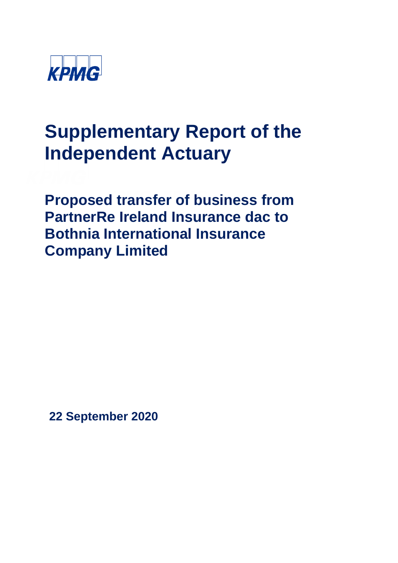

## **Supplementary Report of the Independent Actuary**

**Proposed transfer of business from PartnerRe Ireland Insurance dac to Bothnia International Insurance Company Limited** 

**22 September 2020**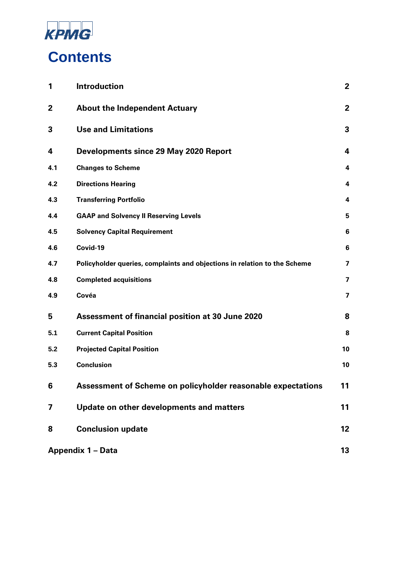

| 1   | <b>Introduction</b>                                                       | $\overline{2}$          |
|-----|---------------------------------------------------------------------------|-------------------------|
| 2   | <b>About the Independent Actuary</b>                                      | $\mathbf{2}$            |
| 3   | <b>Use and Limitations</b>                                                | 3                       |
| 4   | <b>Developments since 29 May 2020 Report</b>                              | 4                       |
| 4.1 | <b>Changes to Scheme</b>                                                  | 4                       |
| 4.2 | <b>Directions Hearing</b>                                                 | 4                       |
| 4.3 | <b>Transferring Portfolio</b>                                             | 4                       |
| 4.4 | <b>GAAP and Solvency II Reserving Levels</b>                              | 5                       |
| 4.5 | <b>Solvency Capital Requirement</b>                                       | 6                       |
| 4.6 | Covid-19                                                                  | 6                       |
| 4.7 | Policyholder queries, complaints and objections in relation to the Scheme | 7                       |
| 4.8 | <b>Completed acquisitions</b>                                             | $\overline{\mathbf{z}}$ |
| 4.9 | Covéa                                                                     | $\overline{\mathbf{z}}$ |
| 5   | <b>Assessment of financial position at 30 June 2020</b>                   | 8                       |
| 5.1 | <b>Current Capital Position</b>                                           | 8                       |
| 5.2 | <b>Projected Capital Position</b>                                         | 10                      |
| 5.3 | <b>Conclusion</b>                                                         | 10                      |
| 6   | Assessment of Scheme on policyholder reasonable expectations              | 11                      |
| 7   | Update on other developments and matters                                  | 11                      |
| 8   | <b>Conclusion update</b>                                                  | 12                      |
|     | <b>Appendix 1 - Data</b>                                                  | 13                      |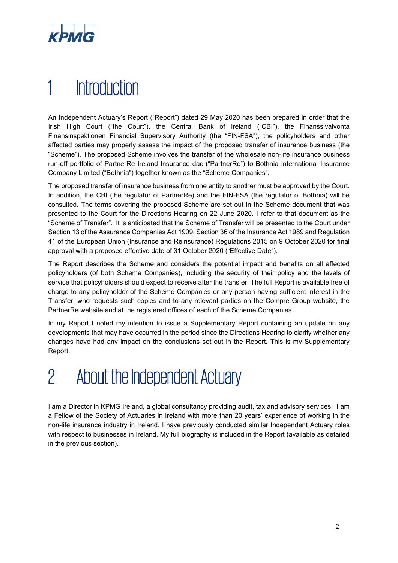

## 1 Introduction

An Independent Actuary's Report ("Report") dated 29 May 2020 has been prepared in order that the Irish High Court ("the Court"), the Central Bank of Ireland ("CBI"), the Finanssivalvonta Finansinspektionen Financial Supervisory Authority (the "FIN-FSA"), the policyholders and other affected parties may properly assess the impact of the proposed transfer of insurance business (the "Scheme"). The proposed Scheme involves the transfer of the wholesale non-life insurance business run-off portfolio of PartnerRe Ireland Insurance dac ("PartnerRe") to Bothnia International Insurance Company Limited ("Bothnia") together known as the "Scheme Companies".

The proposed transfer of insurance business from one entity to another must be approved by the Court. In addition, the CBI (the regulator of PartnerRe) and the FIN-FSA (the regulator of Bothnia) will be consulted. The terms covering the proposed Scheme are set out in the Scheme document that was presented to the Court for the Directions Hearing on 22 June 2020. I refer to that document as the "Scheme of Transfer". It is anticipated that the Scheme of Transfer will be presented to the Court under Section 13 of the Assurance Companies Act 1909, Section 36 of the Insurance Act 1989 and Regulation 41 of the European Union (Insurance and Reinsurance) Regulations 2015 on 9 October 2020 for final approval with a proposed effective date of 31 October 2020 ("Effective Date").

The Report describes the Scheme and considers the potential impact and benefits on all affected policyholders (of both Scheme Companies), including the security of their policy and the levels of service that policyholders should expect to receive after the transfer. The full Report is available free of charge to any policyholder of the Scheme Companies or any person having sufficient interest in the Transfer, who requests such copies and to any relevant parties on the Compre Group website, the PartnerRe website and at the registered offices of each of the Scheme Companies.

In my Report I noted my intention to issue a Supplementary Report containing an update on any developments that may have occurred in the period since the Directions Hearing to clarify whether any changes have had any impact on the conclusions set out in the Report. This is my Supplementary Report.

# 2 About the Independent Actuary

I am a Director in KPMG Ireland, a global consultancy providing audit, tax and advisory services. I am a Fellow of the Society of Actuaries in Ireland with more than 20 years' experience of working in the non-life insurance industry in Ireland. I have previously conducted similar Independent Actuary roles with respect to businesses in Ireland. My full biography is included in the Report (available as detailed in the previous section).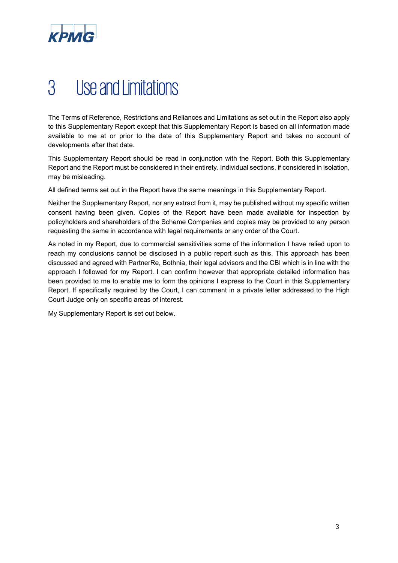

## 3 Use and Limitations

The Terms of Reference, Restrictions and Reliances and Limitations as set out in the Report also apply to this Supplementary Report except that this Supplementary Report is based on all information made available to me at or prior to the date of this Supplementary Report and takes no account of developments after that date.

This Supplementary Report should be read in conjunction with the Report. Both this Supplementary Report and the Report must be considered in their entirety. Individual sections, if considered in isolation, may be misleading.

All defined terms set out in the Report have the same meanings in this Supplementary Report.

Neither the Supplementary Report, nor any extract from it, may be published without my specific written consent having been given. Copies of the Report have been made available for inspection by policyholders and shareholders of the Scheme Companies and copies may be provided to any person requesting the same in accordance with legal requirements or any order of the Court.

As noted in my Report, due to commercial sensitivities some of the information I have relied upon to reach my conclusions cannot be disclosed in a public report such as this. This approach has been discussed and agreed with PartnerRe, Bothnia, their legal advisors and the CBI which is in line with the approach I followed for my Report. I can confirm however that appropriate detailed information has been provided to me to enable me to form the opinions I express to the Court in this Supplementary Report. If specifically required by the Court, I can comment in a private letter addressed to the High Court Judge only on specific areas of interest.

My Supplementary Report is set out below.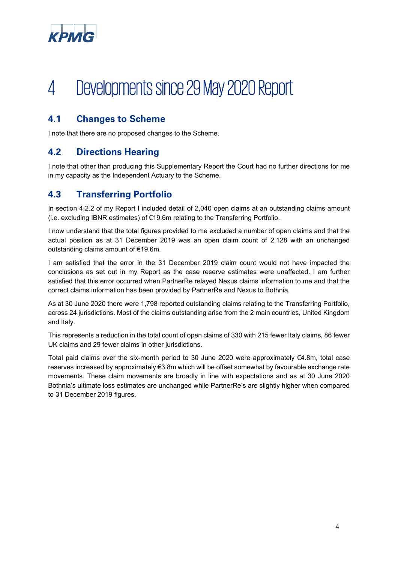

# 4 Developments since 29 May 2020 Report

### **4.1 Changes to Scheme**

I note that there are no proposed changes to the Scheme.

#### **4.2 Directions Hearing**

I note that other than producing this Supplementary Report the Court had no further directions for me in my capacity as the Independent Actuary to the Scheme.

#### **4.3 Transferring Portfolio**

In section 4.2.2 of my Report I included detail of 2,040 open claims at an outstanding claims amount (i.e. excluding IBNR estimates) of €19.6m relating to the Transferring Portfolio.

I now understand that the total figures provided to me excluded a number of open claims and that the actual position as at 31 December 2019 was an open claim count of 2,128 with an unchanged outstanding claims amount of €19.6m.

I am satisfied that the error in the 31 December 2019 claim count would not have impacted the conclusions as set out in my Report as the case reserve estimates were unaffected. I am further satisfied that this error occurred when PartnerRe relayed Nexus claims information to me and that the correct claims information has been provided by PartnerRe and Nexus to Bothnia.

As at 30 June 2020 there were 1,798 reported outstanding claims relating to the Transferring Portfolio, across 24 jurisdictions. Most of the claims outstanding arise from the 2 main countries, United Kingdom and Italy.

This represents a reduction in the total count of open claims of 330 with 215 fewer Italy claims, 86 fewer UK claims and 29 fewer claims in other jurisdictions.

Total paid claims over the six-month period to 30 June 2020 were approximately €4.8m, total case reserves increased by approximately €3.8m which will be offset somewhat by favourable exchange rate movements. These claim movements are broadly in line with expectations and as at 30 June 2020 Bothnia's ultimate loss estimates are unchanged while PartnerRe's are slightly higher when compared to 31 December 2019 figures.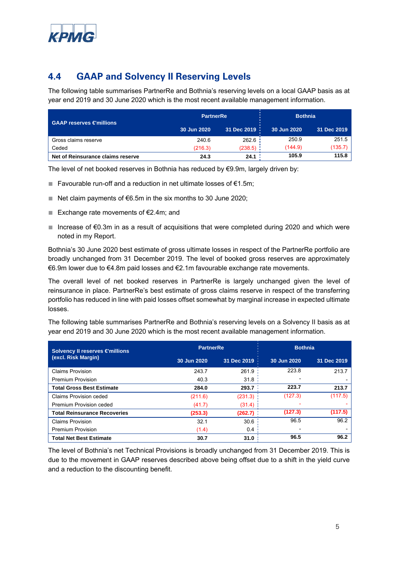

## **4.4 GAAP and Solvency II Reserving Levels**

The following table summarises PartnerRe and Bothnia's reserving levels on a local GAAP basis as at year end 2019 and 30 June 2020 which is the most recent available management information.

| GAAP reserves €millions           | <b>PartnerRe</b> |               | <b>Bothnia</b> |             |
|-----------------------------------|------------------|---------------|----------------|-------------|
|                                   | 30 Jun 2020      | 31 Dec 2019 : | 30 Jun 2020    | 31 Dec 2019 |
| Gross claims reserve              | 240.6            | 262.6         | 250.9          | 251.5       |
| Ceded                             | (216.3)          | $(238.5)$ :   | (144.9)        | (135.7)     |
| Net of Reinsurance claims reserve | 24.3             | 24.1          | 105.9          | 115.8       |

The level of net booked reserves in Bothnia has reduced by €9.9m, largely driven by:

- Favourable run-off and a reduction in net ultimate losses of €1.5m;
- Net claim payments of  $€6.5m$  in the six months to 30 June 2020;
- Exchange rate movements of €2.4m; and
- Increase of  $€0.3m$  in as a result of acquisitions that were completed during 2020 and which were noted in my Report.

Bothnia's 30 June 2020 best estimate of gross ultimate losses in respect of the PartnerRe portfolio are broadly unchanged from 31 December 2019. The level of booked gross reserves are approximately €6.9m lower due to €4.8m paid losses and €2.1m favourable exchange rate movements.

The overall level of net booked reserves in PartnerRe is largely unchanged given the level of reinsurance in place. PartnerRe's best estimate of gross claims reserve in respect of the transferring portfolio has reduced in line with paid losses offset somewhat by marginal increase in expected ultimate losses.

The following table summarises PartnerRe and Bothnia's reserving levels on a Solvency II basis as at year end 2019 and 30 June 2020 which is the most recent available management information.

| Solvency II reserves €millions      | <b>PartnerRe</b> |             | <b>Bothnia</b> |             |
|-------------------------------------|------------------|-------------|----------------|-------------|
| (excl. Risk Margin)                 | 30 Jun 2020      | 31 Dec 2019 | 30 Jun 2020    | 31 Dec 2019 |
| <b>Claims Provision</b>             | 243.7            | 261.9       | 223.8          | 213.7       |
| <b>Premium Provision</b>            | 40.3             | 31.8        |                |             |
| <b>Total Gross Best Estimate</b>    | 284.0            | 293.7       | 223.7          | 213.7       |
| Claims Provision ceded              | (211.6)          | (231.3)     | (127.3)        | (117.5)     |
| Premium Provision ceded             | (41.7)           | (31.4)      |                |             |
| <b>Total Reinsurance Recoveries</b> | (253.3)          | (262.7)     | (127.3)        | (117.5)     |
| <b>Claims Provision</b>             | 32.1             | 30.6        | 96.5           | 96.2        |
| <b>Premium Provision</b>            | (1.4)            | 0.4         |                |             |
| <b>Total Net Best Estimate</b>      | 30.7             | 31.0        | 96.5           | 96.2        |

The level of Bothnia's net Technical Provisions is broadly unchanged from 31 December 2019. This is due to the movement in GAAP reserves described above being offset due to a shift in the yield curve and a reduction to the discounting benefit.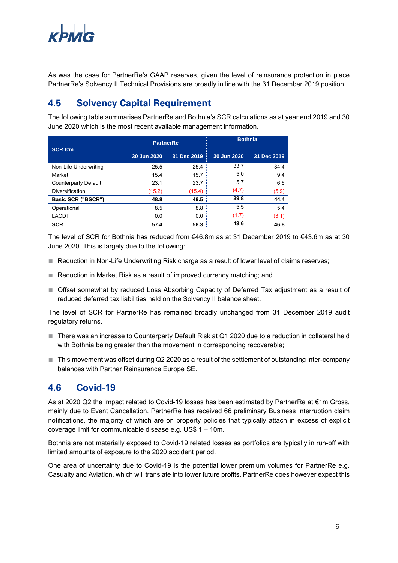

As was the case for PartnerRe's GAAP reserves, given the level of reinsurance protection in place PartnerRe's Solvency II Technical Provisions are broadly in line with the 31 December 2019 position.

#### **4.5 Solvency Capital Requirement**

The following table summarises PartnerRe and Bothnia's SCR calculations as at year end 2019 and 30 June 2020 which is the most recent available management information.

|                             | <b>PartnerRe</b> |             | <b>Bothnia</b> |             |
|-----------------------------|------------------|-------------|----------------|-------------|
| $SCR \in m$                 | 30 Jun 2020      | 31 Dec 2019 | 30 Jun 2020    | 31 Dec 2019 |
| Non-Life Underwriting       | 25.5             | 25.4        | 33.7           | 34.4        |
| Market                      | 15.4             | 15.7        | 5.0            | 9.4         |
| <b>Counterparty Default</b> | 23.1             | 23.7        | 5.7            | 6.6         |
| Diversification             | (15.2)           | (15.4)      | (4.7)          | (5.9)       |
| Basic SCR ("BSCR")          | 48.8             | 49.5        | 39.8           | 44.4        |
| Operational                 | 8.5              | 8.8         | 5.5            | 5.4         |
| <b>LACDT</b>                | 0.0              | 0.0         | (1.7)          | (3.1)       |
| <b>SCR</b>                  | 57.4             | 58.3        | 43.6           | 46.8        |

The level of SCR for Bothnia has reduced from €46.8m as at 31 December 2019 to €43.6m as at 30 June 2020. This is largely due to the following:

- Reduction in Non-Life Underwriting Risk charge as a result of lower level of claims reserves;
- Reduction in Market Risk as a result of improved currency matching; and
- Offset somewhat by reduced Loss Absorbing Capacity of Deferred Tax adjustment as a result of reduced deferred tax liabilities held on the Solvency II balance sheet.

The level of SCR for PartnerRe has remained broadly unchanged from 31 December 2019 audit regulatory returns.

- There was an increase to Counterparty Default Risk at Q1 2020 due to a reduction in collateral held with Bothnia being greater than the movement in corresponding recoverable;
- This movement was offset during Q2 2020 as a result of the settlement of outstanding inter-company balances with Partner Reinsurance Europe SE.

#### **4.6 Covid-19**

As at 2020 Q2 the impact related to Covid-19 losses has been estimated by PartnerRe at €1m Gross, mainly due to Event Cancellation. PartnerRe has received 66 preliminary Business Interruption claim notifications, the majority of which are on property policies that typically attach in excess of explicit coverage limit for communicable disease e.g. US\$ 1 – 10m.

Bothnia are not materially exposed to Covid-19 related losses as portfolios are typically in run-off with limited amounts of exposure to the 2020 accident period.

One area of uncertainty due to Covid-19 is the potential lower premium volumes for PartnerRe e.g. Casualty and Aviation, which will translate into lower future profits. PartnerRe does however expect this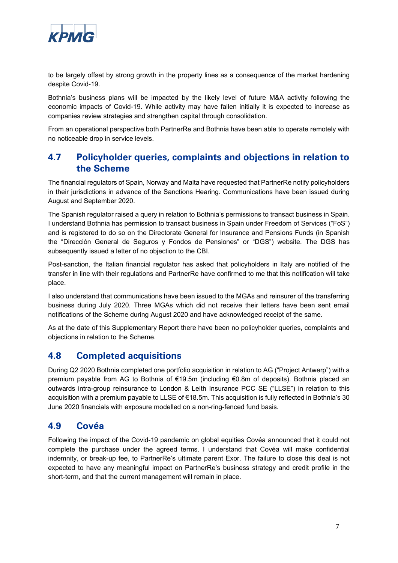

to be largely offset by strong growth in the property lines as a consequence of the market hardening despite Covid-19.

Bothnia's business plans will be impacted by the likely level of future M&A activity following the economic impacts of Covid-19. While activity may have fallen initially it is expected to increase as companies review strategies and strengthen capital through consolidation.

From an operational perspective both PartnerRe and Bothnia have been able to operate remotely with no noticeable drop in service levels.

#### **4.7 Policyholder queries, complaints and objections in relation to the Scheme**

The financial regulators of Spain, Norway and Malta have requested that PartnerRe notify policyholders in their jurisdictions in advance of the Sanctions Hearing. Communications have been issued during August and September 2020.

The Spanish regulator raised a query in relation to Bothnia's permissions to transact business in Spain. I understand Bothnia has permission to transact business in Spain under Freedom of Services ("FoS") and is registered to do so on the Directorate General for Insurance and Pensions Funds (in Spanish the "Dirección General de Seguros y Fondos de Pensiones" or "DGS") website. The DGS has subsequently issued a letter of no objection to the CBI.

Post-sanction, the Italian financial regulator has asked that policyholders in Italy are notified of the transfer in line with their regulations and PartnerRe have confirmed to me that this notification will take place.

I also understand that communications have been issued to the MGAs and reinsurer of the transferring business during July 2020. Three MGAs which did not receive their letters have been sent email notifications of the Scheme during August 2020 and have acknowledged receipt of the same.

As at the date of this Supplementary Report there have been no policyholder queries, complaints and objections in relation to the Scheme.

#### **4.8 Completed acquisitions**

During Q2 2020 Bothnia completed one portfolio acquisition in relation to AG ("Project Antwerp") with a premium payable from AG to Bothnia of €19.5m (including €0.8m of deposits). Bothnia placed an outwards intra-group reinsurance to London & Leith Insurance PCC SE ("LLSE") in relation to this acquisition with a premium payable to LLSE of €18.5m. This acquisition is fully reflected in Bothnia's 30 June 2020 financials with exposure modelled on a non-ring-fenced fund basis.

#### **4.9 Covéa**

Following the impact of the Covid-19 pandemic on global equities Covéa announced that it could not complete the purchase under the agreed terms. I understand that Covéa will make confidential indemnity, or break-up fee, to PartnerRe's ultimate parent Exor. The failure to close this deal is not expected to have any meaningful impact on PartnerRe's business strategy and credit profile in the short-term, and that the current management will remain in place.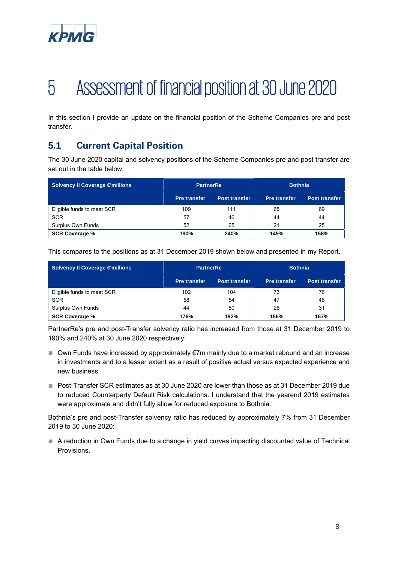

# 5 Assessment of financial position at 30 June 2020

In this section I provide an update on the financial position of the Scheme Companies pre and post transfer.

### **5.1 Current Capital Position**

The 30 June 2020 capital and solvency positions of the Scheme Companies pre and post transfer are set out in the table below.

| <b>Solvency II Coverage €millions</b> | <b>PartnerRe</b>    |                      | <b>Bothnia</b>      |                      |
|---------------------------------------|---------------------|----------------------|---------------------|----------------------|
|                                       | <b>Pre transfer</b> | <b>Post transfer</b> | <b>Pre transfer</b> | <b>Post transfer</b> |
| Eligible funds to meet SCR            | 109                 | 111                  | 65                  | 69                   |
| <b>SCR</b>                            | 57                  | 46                   | 44                  | 44                   |
| Surplus Own Funds                     | 52                  | 65                   | 21                  | 25                   |
| <b>SCR Coverage %</b>                 | 190%                | 240%                 | 149%                | 158%                 |

This compares to the positions as at 31 December 2019 shown below and presented in my Report.

| <b>Solvency II Coverage €millions</b> | <b>PartnerRe</b>    |               | <b>Bothnia</b>      |                      |
|---------------------------------------|---------------------|---------------|---------------------|----------------------|
|                                       | <b>Pre transfer</b> | Post transfer | <b>Pre transfer</b> | <b>Post transfer</b> |
| Eligible funds to meet SCR            | 102                 | 104           | 73                  | 76                   |
| <b>SCR</b>                            | 58                  | 54            | 47                  | 46                   |
| Surplus Own Funds                     | 44                  | 50            | 26                  | 31                   |
| <b>SCR Coverage %</b>                 | 176%                | 192%          | 156%                | 167%                 |

PartnerRe's pre and post-Transfer solvency ratio has increased from those at 31 December 2019 to 190% and 240% at 30 June 2020 respectively:

- Own Funds have increased by approximately €7m mainly due to a market rebound and an increase in investments and to a lesser extent as a result of positive actual versus expected experience and new business.
- Post-Transfer SCR estimates as at 30 June 2020 are lower than those as at 31 December 2019 due to reduced Counterparty Default Risk calculations. I understand that the yearend 2019 estimates were approximate and didn't fully allow for reduced exposure to Bothnia.

Bothnia's pre and post-Transfer solvency ratio has reduced by approximately 7% from 31 December 2019 to 30 June 2020:

■ A reduction in Own Funds due to a change in yield curves impacting discounted value of Technical Provisions.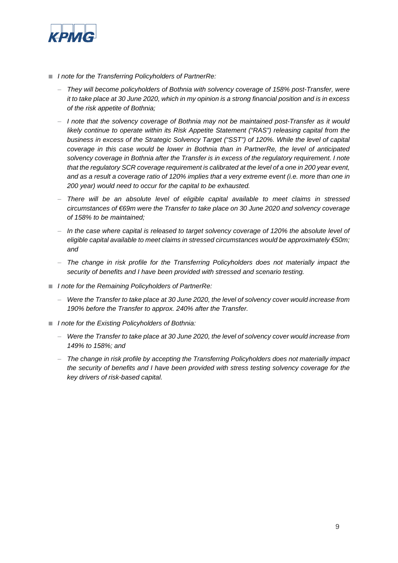

- *I note for the Transferring Policyholders of PartnerRe:* 
	- *They will become policyholders of Bothnia with solvency coverage of 158% post-Transfer, were it to take place at 30 June 2020, which in my opinion is a strong financial position and is in excess of the risk appetite of Bothnia;*
	- *I note that the solvency coverage of Bothnia may not be maintained post-Transfer as it would likely continue to operate within its Risk Appetite Statement ("RAS") releasing capital from the business in excess of the Strategic Solvency Target ("SST") of 120%. While the level of capital coverage in this case would be lower in Bothnia than in PartnerRe, the level of anticipated solvency coverage in Bothnia after the Transfer is in excess of the regulatory requirement. I note that the regulatory SCR coverage requirement is calibrated at the level of a one in 200 year event, and as a result a coverage ratio of 120% implies that a very extreme event (i.e. more than one in 200 year) would need to occur for the capital to be exhausted.*
	- *There will be an absolute level of eligible capital available to meet claims in stressed circumstances of €69m were the Transfer to take place on 30 June 2020 and solvency coverage of 158% to be maintained;*
	- *In the case where capital is released to target solvency coverage of 120% the absolute level of eligible capital available to meet claims in stressed circumstances would be approximately €50m; and*
	- *The change in risk profile for the Transferring Policyholders does not materially impact the security of benefits and I have been provided with stressed and scenario testing.*
- *I note for the Remaining Policyholders of PartnerRe:* 
	- *Were the Transfer to take place at 30 June 2020, the level of solvency cover would increase from 190% before the Transfer to approx. 240% after the Transfer.*
- *I note for the Existing Policyholders of Bothnia:* 
	- *Were the Transfer to take place at 30 June 2020, the level of solvency cover would increase from 149% to 158%; and*
	- *The change in risk profile by accepting the Transferring Policyholders does not materially impact the security of benefits and I have been provided with stress testing solvency coverage for the key drivers of risk-based capital.*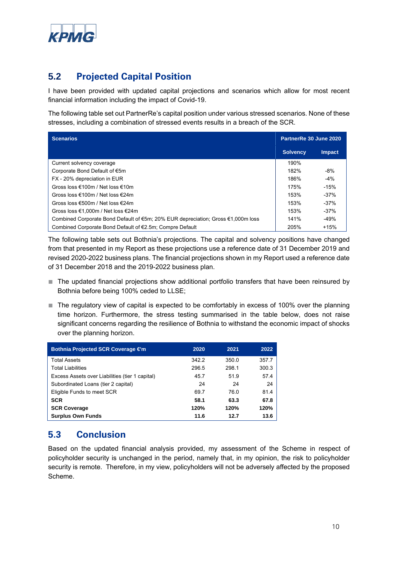

## **5.2 Projected Capital Position**

I have been provided with updated capital projections and scenarios which allow for most recent financial information including the impact of Covid-19.

The following table set out PartnerRe's capital position under various stressed scenarios. None of these stresses, including a combination of stressed events results in a breach of the SCR.

| <b>Scenarios</b>                                                                 |                 | PartnerRe 30 June 2020 |  |
|----------------------------------------------------------------------------------|-----------------|------------------------|--|
|                                                                                  | <b>Solvency</b> | <b>Impact</b>          |  |
| Current solvency coverage                                                        | 190%            |                        |  |
| Corporate Bond Default of €5m                                                    | 182%            | $-8%$                  |  |
| FX - 20% depreciation in EUR                                                     | 186%            | $-4%$                  |  |
| Gross loss €100m / Net loss €10m                                                 | 175%            | $-15%$                 |  |
| Gross loss €100m / Net loss €24m                                                 | 153%            | $-37%$                 |  |
| Gross loss €500m / Net loss €24m                                                 | 153%            | $-37%$                 |  |
| Gross loss €1,000m / Net loss €24m                                               | 153%            | $-37%$                 |  |
| Combined Corporate Bond Default of €5m; 20% EUR depreciation; Gross €1,000m loss | 141%            | $-49%$                 |  |
| Combined Corporate Bond Default of €2.5m; Compre Default                         | 205%            | $+15%$                 |  |

The following table sets out Bothnia's projections. The capital and solvency positions have changed from that presented in my Report as these projections use a reference date of 31 December 2019 and revised 2020-2022 business plans. The financial projections shown in my Report used a reference date of 31 December 2018 and the 2019-2022 business plan.

- The updated financial projections show additional portfolio transfers that have been reinsured by Bothnia before being 100% ceded to LLSE;
- The regulatory view of capital is expected to be comfortably in excess of 100% over the planning time horizon. Furthermore, the stress testing summarised in the table below, does not raise significant concerns regarding the resilience of Bothnia to withstand the economic impact of shocks over the planning horizon.

| Bothnia Projected SCR Coverage €m               | 2020  | 2021  | 2022  |
|-------------------------------------------------|-------|-------|-------|
| <b>Total Assets</b>                             | 342.2 | 350.0 | 357.7 |
| <b>Total Liabilities</b>                        | 296.5 | 298.1 | 300.3 |
| Excess Assets over Liabilities (tier 1 capital) | 45.7  | 51.9  | 57.4  |
| Subordinated Loans (tier 2 capital)             | 24    | 24    | 24    |
| Eligible Funds to meet SCR                      | 69.7  | 76.0  | 81.4  |
| <b>SCR</b>                                      | 58.1  | 63.3  | 67.8  |
| <b>SCR Coverage</b>                             | 120%  | 120%  | 120%  |
| <b>Surplus Own Funds</b>                        | 11.6  | 12.7  | 13.6  |

### **5.3 Conclusion**

Based on the updated financial analysis provided, my assessment of the Scheme in respect of policyholder security is unchanged in the period, namely that, in my opinion, the risk to policyholder security is remote. Therefore, in my view, policyholders will not be adversely affected by the proposed Scheme.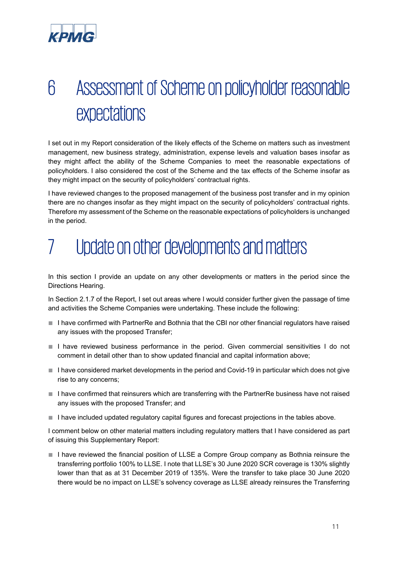

# 6 Assessment of Scheme on policyholder reasonable expectations

I set out in my Report consideration of the likely effects of the Scheme on matters such as investment management, new business strategy, administration, expense levels and valuation bases insofar as they might affect the ability of the Scheme Companies to meet the reasonable expectations of policyholders. I also considered the cost of the Scheme and the tax effects of the Scheme insofar as they might impact on the security of policyholders' contractual rights.

I have reviewed changes to the proposed management of the business post transfer and in my opinion there are no changes insofar as they might impact on the security of policyholders' contractual rights. Therefore my assessment of the Scheme on the reasonable expectations of policyholders is unchanged in the period.

# 7 Update on other developments and matters

In this section I provide an update on any other developments or matters in the period since the Directions Hearing.

In Section 2.1.7 of the Report, I set out areas where I would consider further given the passage of time and activities the Scheme Companies were undertaking. These include the following:

- I have confirmed with PartnerRe and Bothnia that the CBI nor other financial regulators have raised any issues with the proposed Transfer;
- I have reviewed business performance in the period. Given commercial sensitivities I do not comment in detail other than to show updated financial and capital information above;
- I have considered market developments in the period and Covid-19 in particular which does not give rise to any concerns;
- I have confirmed that reinsurers which are transferring with the PartnerRe business have not raised any issues with the proposed Transfer; and
- I have included updated regulatory capital figures and forecast projections in the tables above.

I comment below on other material matters including regulatory matters that I have considered as part of issuing this Supplementary Report:

■ I have reviewed the financial position of LLSE a Compre Group company as Bothnia reinsure the transferring portfolio 100% to LLSE. I note that LLSE's 30 June 2020 SCR coverage is 130% slightly lower than that as at 31 December 2019 of 135%. Were the transfer to take place 30 June 2020 there would be no impact on LLSE's solvency coverage as LLSE already reinsures the Transferring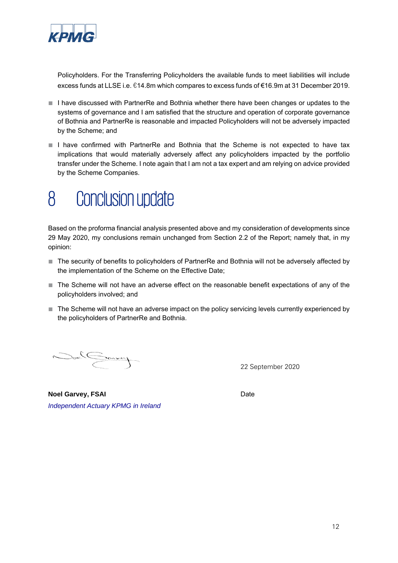

Policyholders. For the Transferring Policyholders the available funds to meet liabilities will include excess funds at LLSE i.e. €14.8m which compares to excess funds of €16.9m at 31 December 2019.

- I have discussed with PartnerRe and Bothnia whether there have been changes or updates to the systems of governance and I am satisfied that the structure and operation of corporate governance of Bothnia and PartnerRe is reasonable and impacted Policyholders will not be adversely impacted by the Scheme; and
- I have confirmed with PartnerRe and Bothnia that the Scheme is not expected to have tax implications that would materially adversely affect any policyholders impacted by the portfolio transfer under the Scheme. I note again that I am not a tax expert and am relying on advice provided by the Scheme Companies.

## 8 Conclusion update

Based on the proforma financial analysis presented above and my consideration of developments since 29 May 2020, my conclusions remain unchanged from Section 2.2 of the Report; namely that, in my opinion:

- The security of benefits to policyholders of PartnerRe and Bothnia will not be adversely affected by the implementation of the Scheme on the Effective Date;
- The Scheme will not have an adverse effect on the reasonable benefit expectations of any of the policyholders involved; and
- The Scheme will not have an adverse impact on the policy servicing levels currently experienced by the policyholders of PartnerRe and Bothnia.

 $\sum_{i=1}^{n} \sum_{i=1}^{n} \sum_{j=1}^{n} \sum_{j=1}^{n} \sum_{j=1}^{n} \sum_{j=1}^{n} \sum_{j=1}^{n} \sum_{j=1}^{n} \sum_{j=1}^{n} \sum_{j=1}^{n} \sum_{j=1}^{n} \sum_{j=1}^{n} \sum_{j=1}^{n} \sum_{j=1}^{n} \sum_{j=1}^{n} \sum_{j=1}^{n} \sum_{j=1}^{n} \sum_{j=1}^{n} \sum_{j=1}^{n} \sum_{j=1}^{n} \sum_{j=1}^{n} \sum_{j=1}^{n}$ 

22 September 2020

**Noel Garvey, FSAI**  Date *Independent Actuary KPMG in Ireland*